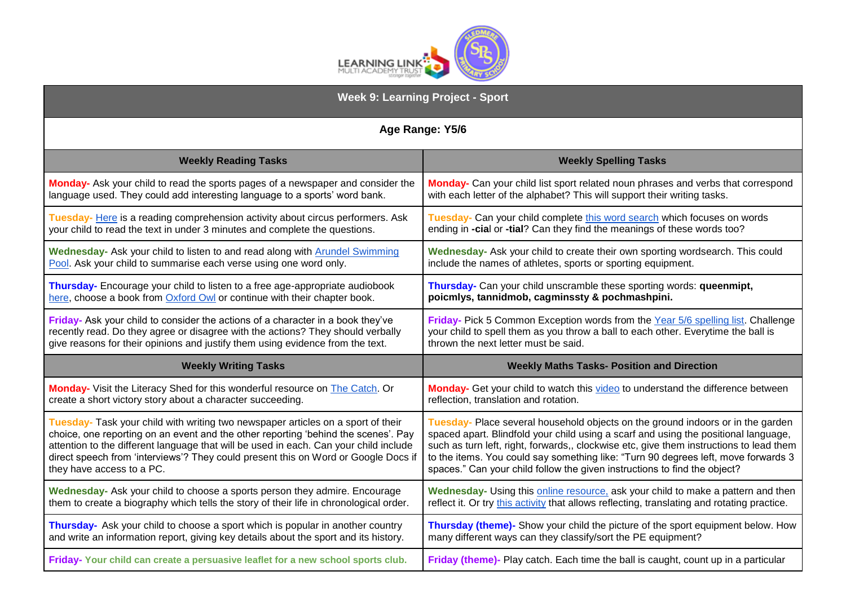

| <b>Week 9: Learning Project - Sport</b>                                                |                                                                                             |
|----------------------------------------------------------------------------------------|---------------------------------------------------------------------------------------------|
| Age Range: Y5/6                                                                        |                                                                                             |
| <b>Weekly Reading Tasks</b>                                                            | <b>Weekly Spelling Tasks</b>                                                                |
| Monday- Ask your child to read the sports pages of a newspaper and consider the        | Monday- Can your child list sport related noun phrases and verbs that correspond            |
| language used. They could add interesting language to a sports' word bank.             | with each letter of the alphabet? This will support their writing tasks.                    |
| Tuesday- Here is a reading comprehension activity about circus performers. Ask         | Tuesday- Can your child complete this word search which focuses on words                    |
| your child to read the text in under 3 minutes and complete the questions.             | ending in -cial or -tial? Can they find the meanings of these words too?                    |
| Wednesday- Ask your child to listen to and read along with <b>Arundel Swimming</b>     | Wednesday- Ask your child to create their own sporting wordsearch. This could               |
| Pool. Ask your child to summarise each verse using one word only.                      | include the names of athletes, sports or sporting equipment.                                |
| Thursday- Encourage your child to listen to a free age-appropriate audiobook           | Thursday- Can your child unscramble these sporting words: queenmipt,                        |
| here, choose a book from Oxford Owl or continue with their chapter book.               | poicmlys, tannidmob, cagminssty & pochmashpini.                                             |
| Friday- Ask your child to consider the actions of a character in a book they've        | Friday- Pick 5 Common Exception words from the Year 5/6 spelling list. Challenge            |
| recently read. Do they agree or disagree with the actions? They should verbally        | your child to spell them as you throw a ball to each other. Everytime the ball is           |
| give reasons for their opinions and justify them using evidence from the text.         | thrown the next letter must be said.                                                        |
| <b>Weekly Writing Tasks</b>                                                            | <b>Weekly Maths Tasks- Position and Direction</b>                                           |
| Monday- Visit the Literacy Shed for this wonderful resource on The Catch. Or           | Monday- Get your child to watch this video to understand the difference between             |
| create a short victory story about a character succeeding.                             | reflection, translation and rotation.                                                       |
| Tuesday- Task your child with writing two newspaper articles on a sport of their       | Tuesday- Place several household objects on the ground indoors or in the garden             |
| choice, one reporting on an event and the other reporting 'behind the scenes'. Pay     | spaced apart. Blindfold your child using a scarf and using the positional language,         |
| attention to the different language that will be used in each. Can your child include  | such as turn left, right, forwards,, clockwise etc, give them instructions to lead them     |
| direct speech from 'interviews'? They could present this on Word or Google Docs if     | to the items. You could say something like: "Turn 90 degrees left, move forwards 3          |
| they have access to a PC.                                                              | spaces." Can your child follow the given instructions to find the object?                   |
| Wednesday- Ask your child to choose a sports person they admire. Encourage             | Wednesday- Using this online resource, ask your child to make a pattern and then            |
| them to create a biography which tells the story of their life in chronological order. | reflect it. Or try this activity that allows reflecting, translating and rotating practice. |
| Thursday- Ask your child to choose a sport which is popular in another country         | Thursday (theme)- Show your child the picture of the sport equipment below. How             |
| and write an information report, giving key details about the sport and its history.   | many different ways can they classify/sort the PE equipment?                                |
| Friday-Your child can create a persuasive leaflet for a new school sports club.        | Friday (theme)- Play catch. Each time the ball is caught, count up in a particular          |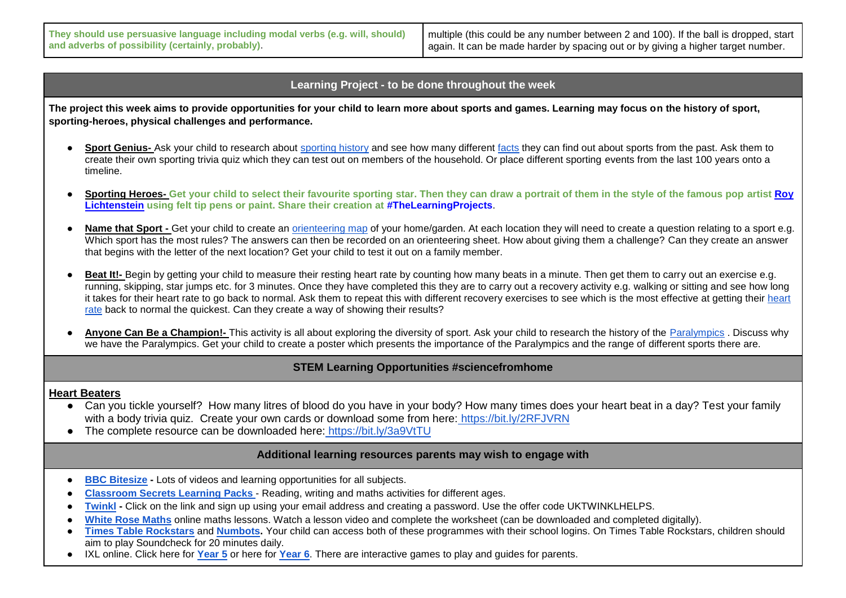**They should use persuasive language including modal verbs (e.g. will, should) and adverbs of possibility (certainly, probably)**.

multiple (this could be any number between 2 and 100). If the ball is dropped, start again. It can be made harder by spacing out or by giving a higher target number.

### **Learning Project - to be done throughout the week**

**The project this week aims to provide opportunities for your child to learn more about sports and games. Learning may focus on the history of sport, sporting-heroes, physical challenges and performance.** 

- Spor[t](https://kids.kiddle.co/Sport) Genius- Ask your child to research about [sporting history](https://kids.kiddle.co/Sport) and see how many different [facts](https://www.sportsforschools.org/interesting-facts/) they can find out about sports from the past. Ask them to create their own sporting trivia quiz which they can test out on members of the household. Or place different sporting events from the last 100 years onto a timeline.
- **Sporting Heroes- Get your child to select their favourite sporting star. Then they can draw a portrait of them in the style of the famous pop artist [Roy](https://www.tate.org.uk/kids/explore/who-is/who-roy-lichtenstein)  [Lichtenstein](https://www.tate.org.uk/kids/explore/who-is/who-roy-lichtenstein) using felt tip pens or paint. Share their creation at #TheLearningProjects**.
- Name that Sport Get your child to create an [orienteering map](https://www.getoutwiththekids.co.uk/activities/playing-things/orienteering/) of your home/garden. At each location they will need to create a question relating to a sport e.g. Which sport has the most rules? The answers can then be recorded on an orienteering sheet. How about giving them a challenge? Can they create an answer that begins with the letter of the next location? Get your child to test it out on a family member.
- **Beat It!-** Begin by getting your child to measure their resting heart rate by counting how many beats in a minute. Then get them to carry out an exercise e.g. running, skipping, star jumps etc. for 3 minutes. Once they have completed this they are to carry out a recovery activity e.g. walking or sitting and see how long it takes fo[r](http://www.cyh.com/HealthTopics/HealthTopicDetailsKids.aspx?p=335&np=285&id=1467) their [heart](http://www.cyh.com/HealthTopics/HealthTopicDetailsKids.aspx?p=335&np=285&id=1467) rate to go back to normal. Ask them to repeat this with different recovery exercises to see which is the most effective at getting their heart [rate](http://www.cyh.com/HealthTopics/HealthTopicDetailsKids.aspx?p=335&np=285&id=1467) back to normal the quickest. Can they create a way of showing their results?
- Anyone Can Be a Champion!- This activity is all about exploring the diversity of sport. Ask your child to research the history of the [Paralympics](https://www.paralympic.org/ipc/history) . Discuss why we have the Paralympics. Get your child to create a poster which presents the importance of the Paralympics and the range of different sports there are.

# **STEM Learning Opportunities #sciencefromhome**

#### **Heart Beaters**

- Can you tickle yourself? How many litres of blood do you have in your body? How many times does your heart beat in a day? Test your family with a body trivia quiz. Create your own cards or download some from here: https://bit.ly/2RFJVRN
- The complete resource can be downloaded here: <https://bit.ly/3a9VtTU>

## **Additional learning resources parents may wish to engage with**

- **[BBC Bitesize](https://www.bbc.co.uk/bitesize/levels/zbr9wmn) -** Lots of videos and learning opportunities for all subjects.
- **[Classroom Secrets Learning Packs](https://classroomsecrets.co.uk/free-home-learning-packs/)** [-](https://classroomsecrets.co.uk/free-home-learning-packs/) Reading, writing and maths activities for different ages.
- **[Twinkl](https://www.twinkl.co.uk/offer/UKTWINKLHELPS?utm_source=promo&utm_medium=email&utm_campaign=England_coronavirus_schools_email&utm_content=offer_link) Click on the link and sign up using your email address and creating a password. Use the offer code UKTWINKLHELPS.**
- [White Rose Maths](https://whiterosemaths.com/homelearning/) online maths lessons. Watch a lesson video and complete the worksheet (can be downloaded and completed digitally).
- **[Times Table Rockstars](https://play.ttrockstars.com/auth/school)** and **[Numbots.](https://numbots.com/)** Your child can access both of these programmes with their school logins. On Times Table Rockstars, children should aim to play Soundcheck for 20 minutes daily.
- IXL online. Click here for **[Year 5](https://uk.ixl.com/math/year-5)** or here for **[Year 6](https://uk.ixl.com/math/year-6)**. There are interactive games to play and guides for parents.